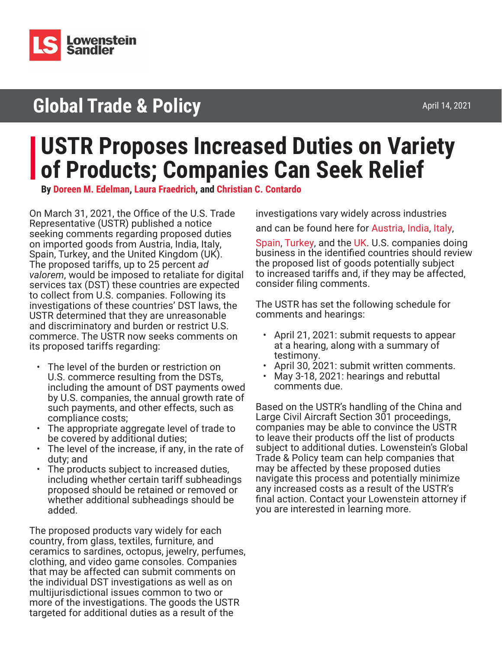

## **Global Trade & Policy**

# **USTR Proposes Increased Duties on Variety of Products; Companies Can Seek Relief**

**By [Doreen M. Edelman](https://www.lowenstein.com/people/attorneys/doreen-edelman), [Laura Fraedrich,](https://www.lowenstein.com/people/attorneys/laura-fraedrich) and [Christian C. Contardo](http://www.lowenstein.com/people/attorneys/christian-contardo)**

On March 31, 2021, the Office of the U.S. Trade Representative (USTR) published a notice seeking comments regarding proposed duties on imported goods from Austria, India, Italy, Spain, Turkey, and the United Kingdom (UK). The proposed tariffs, up to 25 percent *ad valorem*, would be imposed to retaliate for digital services tax (DST) these countries are expected to collect from U.S. companies. Following its investigations of these countries' DST laws, the USTR determined that they are unreasonable and discriminatory and burden or restrict U.S. commerce. The USTR now seeks comments on its proposed tariffs regarding:

- The level of the burden or restriction on U.S. commerce resulting from the DSTs, including the amount of DST payments owed by U.S. companies, the annual growth rate of such payments, and other effects, such as compliance costs;
- The appropriate aggregate level of trade to be covered by additional duties;
- The level of the increase, if any, in the rate of duty; and
- The products subject to increased duties, including whether certain tariff subheadings proposed should be retained or removed or whether additional subheadings should be added.

The proposed products vary widely for each country, from glass, textiles, furniture, and ceramics to sardines, octopus, jewelry, perfumes, clothing, and video game consoles. Companies that may be affected can submit comments on the individual DST investigations as well as on multijurisdictional issues common to two or more of the investigations. The goods the USTR targeted for additional duties as a result of the

investigations vary widely across industries and can be found here for [Austria,](https://my.lowenstein.com/e/7quwig208h0k9q) [India,](https://my.lowenstein.com/e/ozeaeoj6dzdya) [Italy,](https://my.lowenstein.com/e/av0etzdaad6feiw)

[Spain](https://my.lowenstein.com/e/gl0aizrdu6zgz7a), [Turkey](https://my.lowenstein.com/e/md0kbcdxbicngew), and the [UK](https://my.lowenstein.com/e/3ok2utogf4rdnfg). U.S. companies doing business in the identified countries should review the proposed list of goods potentially subject to increased tariffs and, if they may be affected, consider filing comments.

The USTR has set the following schedule for comments and hearings:

- April 21, 2021: submit requests to appear at a hearing, along with a summary of testimony.
- April 30, 2021: submit written comments.
- May 3-18, 2021: hearings and rebuttal comments due.

Based on the USTR's handling of the China and Large Civil Aircraft Section 301 proceedings, companies may be able to convince the USTR to leave their products off the list of products subject to additional duties. Lowenstein's Global Trade & Policy team can help companies that may be affected by these proposed duties navigate this process and potentially minimize any increased costs as a result of the USTR's final action. Contact your Lowenstein attorney if you are interested in learning more.